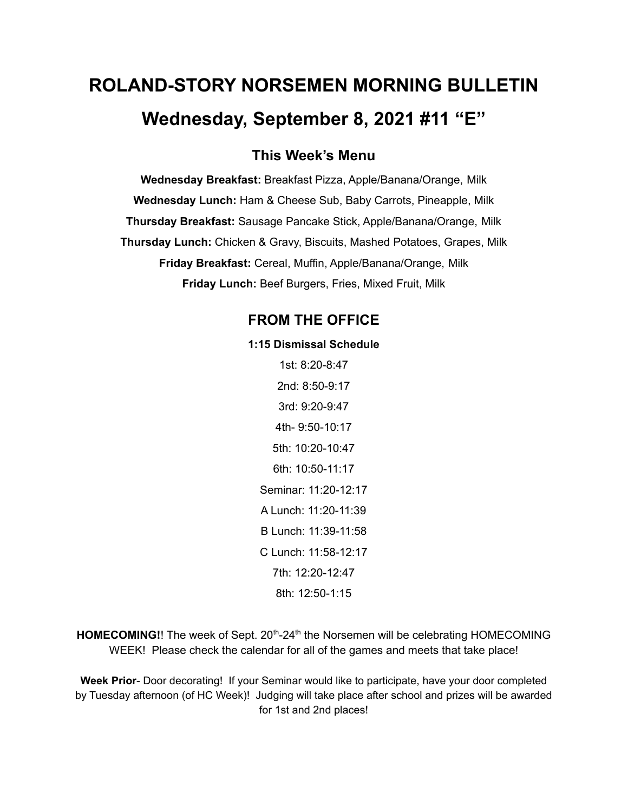# **ROLAND-STORY NORSEMEN MORNING BULLETIN Wednesday, September 8, 2021 #11 "E"**

**This Week's Menu**

**Wednesday Breakfast:** Breakfast Pizza, Apple/Banana/Orange, Milk **Wednesday Lunch:** Ham & Cheese Sub, Baby Carrots, Pineapple, Milk **Thursday Breakfast:** Sausage Pancake Stick, Apple/Banana/Orange, Milk **Thursday Lunch:** Chicken & Gravy, Biscuits, Mashed Potatoes, Grapes, Milk **Friday Breakfast:** Cereal, Muffin, Apple/Banana/Orange, Milk **Friday Lunch:** Beef Burgers, Fries, Mixed Fruit, Milk

## **FROM THE OFFICE**

#### **1:15 Dismissal Schedule**

1st: 8:20-8:47 2nd: 8:50-9:17 3rd: 9:20-9:47 4th- 9:50-10:17 5th: 10:20-10:47 6th: 10:50-11:17 Seminar: 11:20-12:17 A Lunch: 11:20-11:39 B Lunch: 11:39-11:58 C Lunch: 11:58-12:17 7th: 12:20-12:47 8th: 12:50-1:15

HOMECOMING!! The week of Sept. 20<sup>th</sup>-24<sup>th</sup> the Norsemen will be celebrating HOMECOMING WEEK! Please check the calendar for all of the games and meets that take place!

**Week Prior**- Door decorating! If your Seminar would like to participate, have your door completed by Tuesday afternoon (of HC Week)! Judging will take place after school and prizes will be awarded for 1st and 2nd places!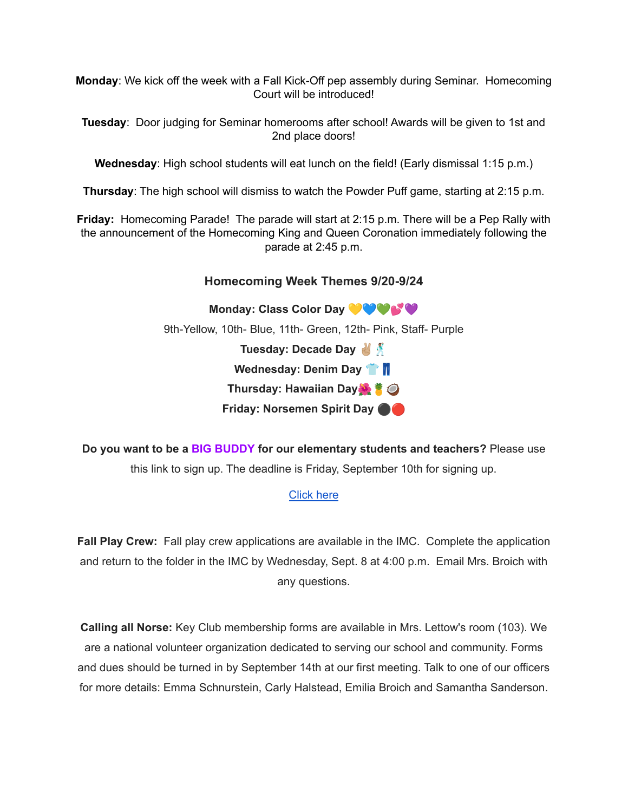**Monday**: We kick off the week with a Fall Kick-Off pep assembly during Seminar. Homecoming Court will be introduced!

**Tuesday**: Door judging for Seminar homerooms after school! Awards will be given to 1st and 2nd place doors!

**Wednesday**: High school students will eat lunch on the field! (Early dismissal 1:15 p.m.)

**Thursday**: The high school will dismiss to watch the Powder Puff game, starting at 2:15 p.m.

**Friday:** Homecoming Parade! The parade will start at 2:15 p.m. There will be a Pep Rally with the announcement of the Homecoming King and Queen Coronation immediately following the parade at 2:45 p.m.

## **Homecoming Week Themes 9/20-9/24**

**Monday: Class Color Day** 9th-Yellow, 10th- Blue, 11th- Green, 12th- Pink, Staff- Purple **Tuesday: Decade Day Wednesday: Denim Day Thursday: Hawaiian Day Friday: Norsemen Spirit Day** ⚫️

**Do you want to be a BIG BUDDY for our elementary students and teachers?** Please use this link to sign up. The deadline is Friday, September 10th for signing up.

#### [Click](https://docs.google.com/forms/d/e/1FAIpQLSdnBOSS22yKxjrGxKALRfMidQdbVCa4CbkF2FpWLlV-1YgPew/viewform?usp=sf_) here

**Fall Play Crew:** Fall play crew applications are available in the IMC. Complete the application and return to the folder in the IMC by Wednesday, Sept. 8 at 4:00 p.m. Email Mrs. Broich with any questions.

**Calling all Norse:** Key Club membership forms are available in Mrs. Lettow's room (103). We are a national volunteer organization dedicated to serving our school and community. Forms and dues should be turned in by September 14th at our first meeting. Talk to one of our officers for more details: Emma Schnurstein, Carly Halstead, Emilia Broich and Samantha Sanderson.